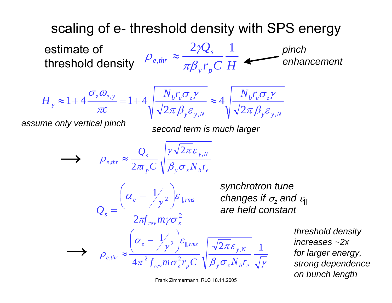## scaling of e- threshold density with SPS energy

*r C H Q y p s e thr*  $2 \nu Q_s$  1  $\text{estimate of} \quad \rho_{_{e,thr}} \approx \frac{2 \gamma Q_s}{\pi \beta_{_v} r_{_p} C} \frac{1}{H} \text{ } \textcolor{red}{\text{}} \textcolor{red}{\text{}} \textcolor{red}{\text{}} \textcolor{red}{\text{}} \textcolor{red}{\text{}} \textcolor{red}{\text{}} \textcolor{red}{\text{}} \textcolor{red}{\text{}} \textcolor{red}{\text{}} \textcolor{red}{\text{}} \textcolor{red}{\text{}} \textcolor{red}{\text{}} \textcolor{red}{\text{}} \textcolor{red}{\text{}} \textcolor{red}{\text{}} \textcolor{red}{\text{}} \textcolor{red}{\$ 



*y y N b e z y y N*  $N_r r \sigma_l \gamma$  *N<sub>r</sub>* , , 2  $\frac{e^{\lambda t}e^{\lambda t}z^{\lambda}}{2\pi\beta_{\nu}\varepsilon_{\nu N}} \approx 4$  $\pi\beta_{\mathrm{v}}\varepsilon$  $\sigma$   $\gamma$  $\pi\beta_{\mathrm{v}}\varepsilon$  $\sigma$  ,  $\gamma$ 

*assume only vertical pinch second term is much larger*

$$
\sum_{\rho_{e,thr}} \approx \frac{Q_s}{2\pi r_p C} \sqrt{\frac{\gamma \sqrt{2\pi} \varepsilon_{y,N}}{\beta_y \sigma_z N_b r_e}}
$$

$$
Q_s = \frac{\left(\alpha_c - \frac{1}{\gamma^2}\right)\varepsilon_{\parallel,rms}}{2\pi f_{rev} m \gamma \sigma_z^2}
$$

*synchrotron tune changes if* <sup>σ</sup>*z and* <sup>ε</sup>*|| are held constant*

 $\beta_{_{\it Y}}\sigma_{_{\it Z}}N_{_{\it b}}r_{_{\it e}} \ \sqrt{\gamma}$ πε  $\pi^ \mathcal{L}_{row}$   $m\sigma$  $\left( \gamma^2 \right)$ ε  $\alpha$  $\rho$  $2\pi\varepsilon_{_{\rm v,N}}$  1 4 1 , 2 2 2 | $\mathcal{C}_{\parallel}$ , ,  $y \sim z^{\perp}$  *b*  $e$ *y N rev z p e rms*  $f_{\text{rev}}^{\text{e,thr}}$  **f**  $\mathcal{A}\pi^2 f_{\text{rev}} m \sigma_z^2 r_p C \sqrt{\beta_v \sigma_z N_b r_p^2}$  $\rho_{\text{other}} \approx \frac{\left(\alpha_{e} - \frac{1}{\gamma}\right) \varepsilon_{\parallel,\text{rms}}}{\frac{2}{\gamma_{\text{other}}}} \sqrt{\frac{\sqrt{2\pi}\varepsilon_{y,N}}{2\pi}} \frac{1}{\sqrt{2\pi}}$  for larger energy,

*strong dependence on bunch length*

Frank Zimmermann, RLC 18.11.2005